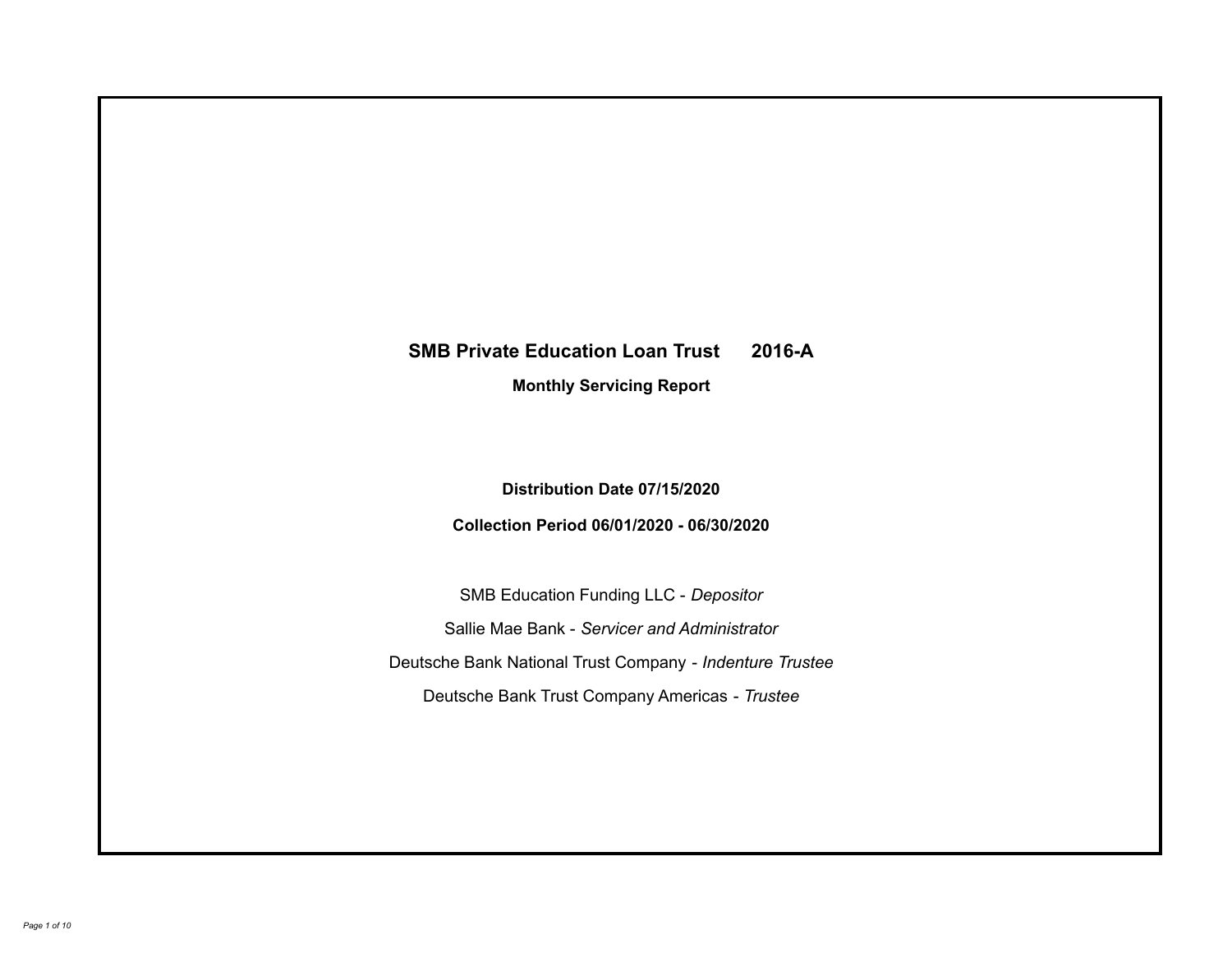# **SMB Private Education Loan Trust 2016-A Monthly Servicing Report**

## **Distribution Date 07/15/2020**

## **Collection Period 06/01/2020 - 06/30/2020**

SMB Education Funding LLC - *Depositor* Sallie Mae Bank - *Servicer and Administrator* Deutsche Bank National Trust Company - *Indenture Trustee* Deutsche Bank Trust Company Americas - *Trustee*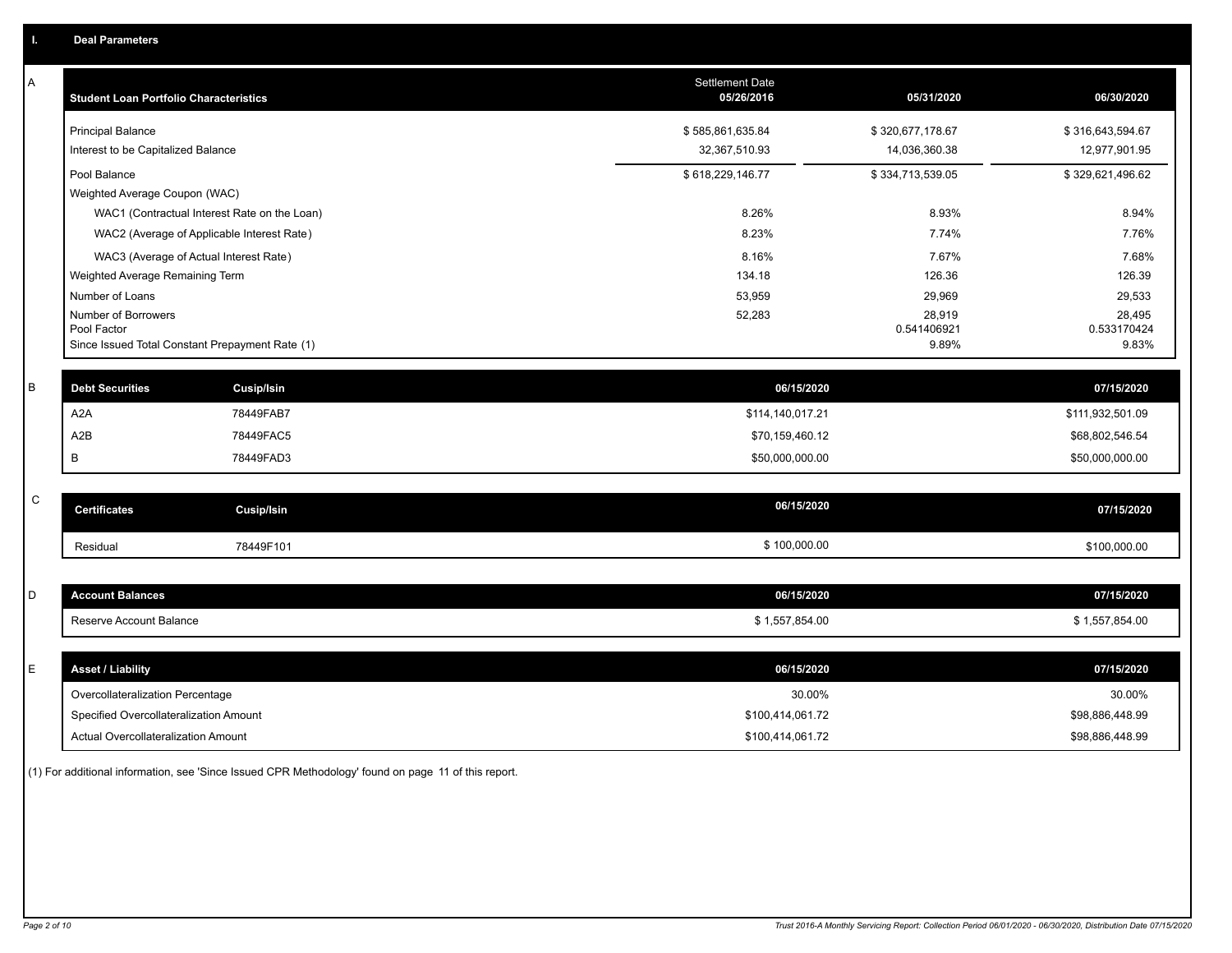| A           | <b>Student Loan Portfolio Characteristics</b>                  |                   | <b>Settlement Date</b><br>05/26/2016 | 05/31/2020           | 06/30/2020           |
|-------------|----------------------------------------------------------------|-------------------|--------------------------------------|----------------------|----------------------|
|             | <b>Principal Balance</b>                                       |                   | \$585,861,635.84                     | \$320,677,178.67     | \$316,643,594.67     |
|             | Interest to be Capitalized Balance                             |                   | 32,367,510.93                        | 14,036,360.38        | 12,977,901.95        |
|             | Pool Balance                                                   |                   | \$618,229,146.77                     | \$334,713,539.05     | \$329,621,496.62     |
|             | Weighted Average Coupon (WAC)                                  |                   |                                      |                      |                      |
|             | WAC1 (Contractual Interest Rate on the Loan)                   |                   | 8.26%                                | 8.93%                | 8.94%                |
|             | WAC2 (Average of Applicable Interest Rate)                     |                   | 8.23%                                | 7.74%                | 7.76%                |
|             | WAC3 (Average of Actual Interest Rate)                         |                   | 8.16%                                | 7.67%                | 7.68%                |
|             | Weighted Average Remaining Term                                |                   | 134.18                               | 126.36               | 126.39               |
|             | Number of Loans                                                |                   | 53,959                               | 29,969               | 29,533               |
|             | Number of Borrowers                                            |                   | 52,283                               | 28,919               | 28,495               |
|             | Pool Factor<br>Since Issued Total Constant Prepayment Rate (1) |                   |                                      | 0.541406921<br>9.89% | 0.533170424<br>9.83% |
|             |                                                                |                   |                                      |                      |                      |
| $\sf B$     | <b>Debt Securities</b>                                         | <b>Cusip/Isin</b> | 06/15/2020                           |                      | 07/15/2020           |
|             | A <sub>2</sub> A                                               | 78449FAB7         | \$114,140,017.21                     |                      | \$111,932,501.09     |
|             | A <sub>2</sub> B                                               | 78449FAC5         | \$70,159,460.12                      |                      | \$68,802,546.54      |
|             | В                                                              | 78449FAD3         | \$50,000,000.00                      |                      | \$50,000,000.00      |
|             |                                                                |                   |                                      |                      |                      |
| $\mathsf C$ | <b>Certificates</b>                                            | <b>Cusip/Isin</b> | 06/15/2020                           |                      | 07/15/2020           |
|             | Residual                                                       | 78449F101         | \$100,000.00                         |                      | \$100,000.00         |
|             |                                                                |                   |                                      |                      |                      |
| D           | <b>Account Balances</b>                                        |                   | 06/15/2020                           |                      | 07/15/2020           |
|             | Reserve Account Balance                                        |                   | \$1,557,854.00                       |                      | \$1,557,854.00       |
|             |                                                                |                   |                                      |                      |                      |
| E           | <b>Asset / Liability</b>                                       |                   | 06/15/2020                           |                      | 07/15/2020           |
|             | Overcollateralization Percentage                               |                   | 30.00%                               |                      | 30.00%               |
|             | Specified Overcollateralization Amount                         |                   | \$100,414,061.72                     |                      | \$98,886,448.99      |
|             | Actual Overcollateralization Amount                            |                   | \$100,414,061.72                     |                      | \$98,886,448.99      |

(1) For additional information, see 'Since Issued CPR Methodology' found on page 11 of this report.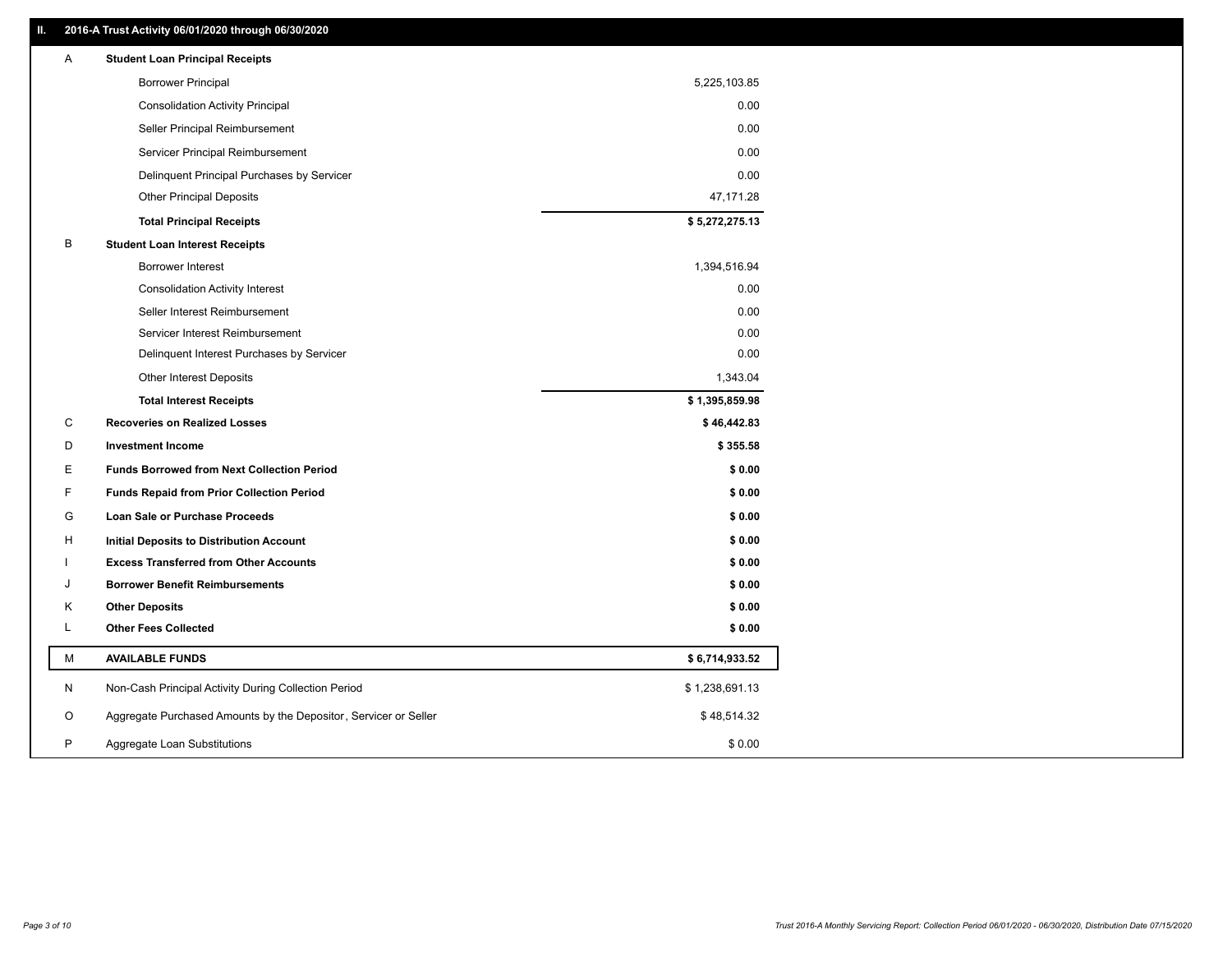## **II. 2016-A Trust Activity 06/01/2020 through 06/30/2020**

| Α | <b>Student Loan Principal Receipts</b>                           |                |  |
|---|------------------------------------------------------------------|----------------|--|
|   | <b>Borrower Principal</b>                                        | 5,225,103.85   |  |
|   | <b>Consolidation Activity Principal</b>                          | 0.00           |  |
|   | Seller Principal Reimbursement                                   | 0.00           |  |
|   | Servicer Principal Reimbursement                                 | 0.00           |  |
|   | Delinquent Principal Purchases by Servicer                       | 0.00           |  |
|   | <b>Other Principal Deposits</b>                                  | 47,171.28      |  |
|   | <b>Total Principal Receipts</b>                                  | \$5,272,275.13 |  |
| B | <b>Student Loan Interest Receipts</b>                            |                |  |
|   | <b>Borrower Interest</b>                                         | 1,394,516.94   |  |
|   | <b>Consolidation Activity Interest</b>                           | 0.00           |  |
|   | Seller Interest Reimbursement                                    | 0.00           |  |
|   | Servicer Interest Reimbursement                                  | 0.00           |  |
|   | Delinquent Interest Purchases by Servicer                        | 0.00           |  |
|   | Other Interest Deposits                                          | 1,343.04       |  |
|   | <b>Total Interest Receipts</b>                                   | \$1,395,859.98 |  |
| C | <b>Recoveries on Realized Losses</b>                             | \$46,442.83    |  |
| D | <b>Investment Income</b>                                         | \$355.58       |  |
| Ε | <b>Funds Borrowed from Next Collection Period</b>                | \$0.00         |  |
| F | <b>Funds Repaid from Prior Collection Period</b>                 | \$0.00         |  |
| G | Loan Sale or Purchase Proceeds                                   | \$0.00         |  |
| н | Initial Deposits to Distribution Account                         | \$0.00         |  |
|   | <b>Excess Transferred from Other Accounts</b>                    | \$0.00         |  |
| J | <b>Borrower Benefit Reimbursements</b>                           | \$0.00         |  |
| Κ | <b>Other Deposits</b>                                            | \$0.00         |  |
| L | <b>Other Fees Collected</b>                                      | \$0.00         |  |
| М | <b>AVAILABLE FUNDS</b>                                           | \$6,714,933.52 |  |
| N | Non-Cash Principal Activity During Collection Period             | \$1,238,691.13 |  |
| O | Aggregate Purchased Amounts by the Depositor, Servicer or Seller | \$48,514.32    |  |
| P | Aggregate Loan Substitutions                                     | \$0.00         |  |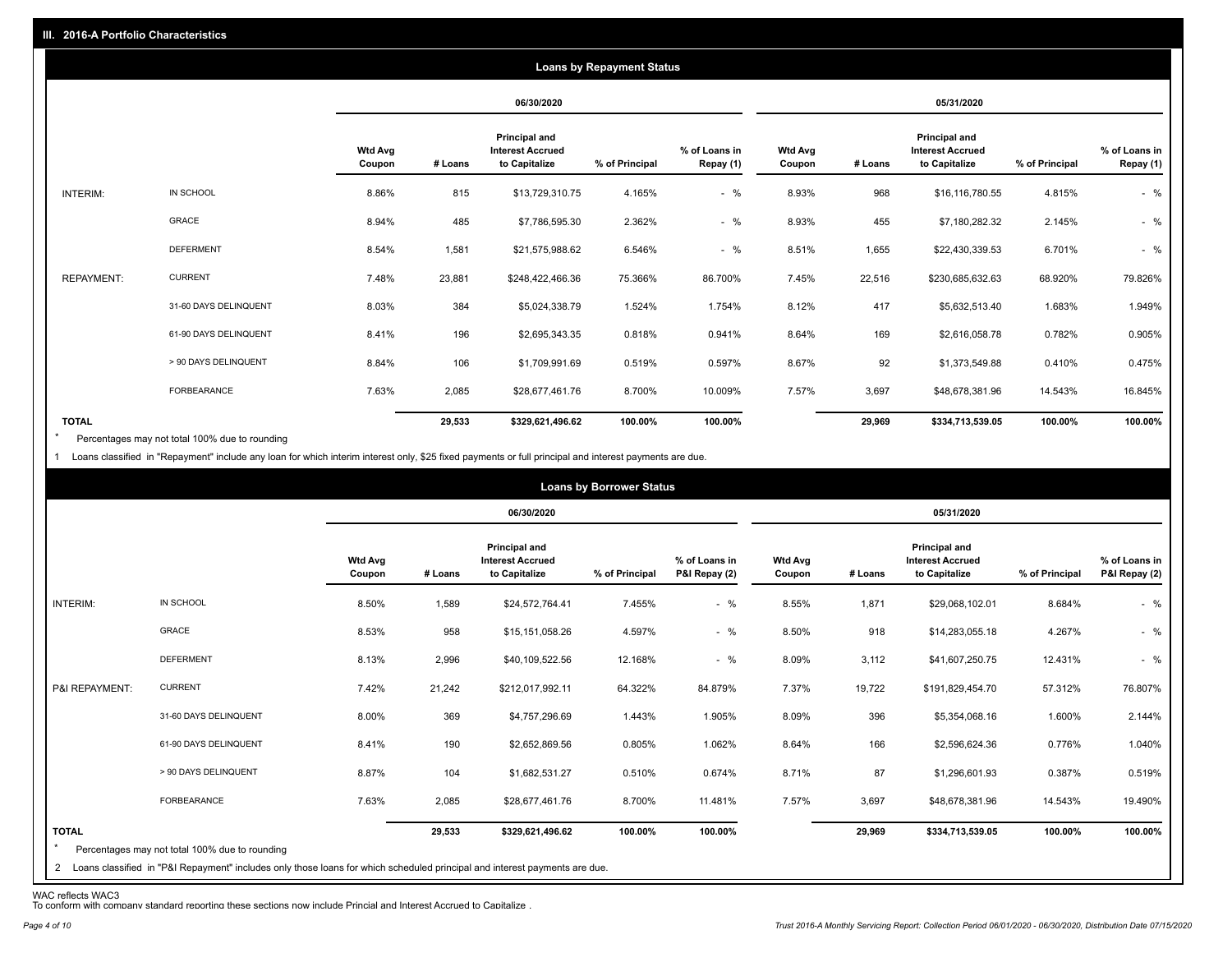|                   |                       | <b>Loans by Repayment Status</b> |            |                                                                  |                |                            |                          |         |                                                           |                |                            |
|-------------------|-----------------------|----------------------------------|------------|------------------------------------------------------------------|----------------|----------------------------|--------------------------|---------|-----------------------------------------------------------|----------------|----------------------------|
|                   |                       |                                  | 06/30/2020 |                                                                  |                | 05/31/2020                 |                          |         |                                                           |                |                            |
|                   |                       | Wtd Avg<br>Coupon                | # Loans    | <b>Principal and</b><br><b>Interest Accrued</b><br>to Capitalize | % of Principal | % of Loans in<br>Repay (1) | <b>Wtd Avg</b><br>Coupon | # Loans | Principal and<br><b>Interest Accrued</b><br>to Capitalize | % of Principal | % of Loans in<br>Repay (1) |
| INTERIM:          | IN SCHOOL             | 8.86%                            | 815        | \$13,729,310.75                                                  | 4.165%         | $-$ %                      | 8.93%                    | 968     | \$16,116,780.55                                           | 4.815%         | $-$ %                      |
|                   | GRACE                 | 8.94%                            | 485        | \$7,786,595.30                                                   | 2.362%         | $-$ %                      | 8.93%                    | 455     | \$7,180,282.32                                            | 2.145%         | $-$ %                      |
|                   | <b>DEFERMENT</b>      | 8.54%                            | 1,581      | \$21,575,988.62                                                  | 6.546%         | $-$ %                      | 8.51%                    | 1,655   | \$22,430,339.53                                           | 6.701%         | $-$ %                      |
| <b>REPAYMENT:</b> | <b>CURRENT</b>        | 7.48%                            | 23,881     | \$248,422,466.36                                                 | 75.366%        | 86.700%                    | 7.45%                    | 22,516  | \$230,685,632.63                                          | 68.920%        | 79.826%                    |
|                   | 31-60 DAYS DELINQUENT | 8.03%                            | 384        | \$5,024,338.79                                                   | 1.524%         | 1.754%                     | 8.12%                    | 417     | \$5,632,513.40                                            | 1.683%         | 1.949%                     |
|                   | 61-90 DAYS DELINQUENT | 8.41%                            | 196        | \$2,695,343.35                                                   | 0.818%         | 0.941%                     | 8.64%                    | 169     | \$2,616,058.78                                            | 0.782%         | 0.905%                     |
|                   | > 90 DAYS DELINQUENT  | 8.84%                            | 106        | \$1,709,991.69                                                   | 0.519%         | 0.597%                     | 8.67%                    | 92      | \$1,373,549.88                                            | 0.410%         | 0.475%                     |
|                   | FORBEARANCE           | 7.63%                            | 2,085      | \$28,677,461.76                                                  | 8.700%         | 10.009%                    | 7.57%                    | 3,697   | \$48,678,381.96                                           | 14.543%        | 16.845%                    |
| <b>TOTAL</b>      |                       |                                  | 29,533     | \$329,621,496.62                                                 | 100.00%        | 100.00%                    |                          | 29,969  | \$334,713,539.05                                          | 100.00%        | 100.00%                    |

Percentages may not total 100% due to rounding \*

1 Loans classified in "Repayment" include any loan for which interim interest only, \$25 fixed payments or full principal and interest payments are due.

|                         | <b>Loans by Borrower Status</b>                                                                                              |                          |         |                                                           |                |                                |                          |         |                                                           |                |                                |  |
|-------------------------|------------------------------------------------------------------------------------------------------------------------------|--------------------------|---------|-----------------------------------------------------------|----------------|--------------------------------|--------------------------|---------|-----------------------------------------------------------|----------------|--------------------------------|--|
|                         |                                                                                                                              |                          |         | 06/30/2020                                                |                |                                | 05/31/2020               |         |                                                           |                |                                |  |
|                         |                                                                                                                              | <b>Wtd Avg</b><br>Coupon | # Loans | Principal and<br><b>Interest Accrued</b><br>to Capitalize | % of Principal | % of Loans in<br>P&I Repay (2) | <b>Wtd Avg</b><br>Coupon | # Loans | Principal and<br><b>Interest Accrued</b><br>to Capitalize | % of Principal | % of Loans in<br>P&I Repay (2) |  |
| INTERIM:                | IN SCHOOL                                                                                                                    | 8.50%                    | 1,589   | \$24,572,764.41                                           | 7.455%         | $-$ %                          | 8.55%                    | 1,871   | \$29,068,102.01                                           | 8.684%         | $-$ %                          |  |
|                         | GRACE                                                                                                                        | 8.53%                    | 958     | \$15,151,058.26                                           | 4.597%         | $-$ %                          | 8.50%                    | 918     | \$14,283,055.18                                           | 4.267%         | $-$ %                          |  |
|                         | <b>DEFERMENT</b>                                                                                                             | 8.13%                    | 2,996   | \$40,109,522.56                                           | 12.168%        | $-$ %                          | 8.09%                    | 3,112   | \$41,607,250.75                                           | 12.431%        | $-$ %                          |  |
| P&I REPAYMENT:          | <b>CURRENT</b>                                                                                                               | 7.42%                    | 21,242  | \$212,017,992.11                                          | 64.322%        | 84.879%                        | 7.37%                    | 19,722  | \$191,829,454.70                                          | 57.312%        | 76.807%                        |  |
|                         | 31-60 DAYS DELINQUENT                                                                                                        | 8.00%                    | 369     | \$4,757,296.69                                            | 1.443%         | 1.905%                         | 8.09%                    | 396     | \$5,354,068.16                                            | 1.600%         | 2.144%                         |  |
|                         | 61-90 DAYS DELINQUENT                                                                                                        | 8.41%                    | 190     | \$2,652,869.56                                            | 0.805%         | 1.062%                         | 8.64%                    | 166     | \$2,596,624.36                                            | 0.776%         | 1.040%                         |  |
|                         | > 90 DAYS DELINQUENT                                                                                                         | 8.87%                    | 104     | \$1,682,531.27                                            | 0.510%         | 0.674%                         | 8.71%                    | 87      | \$1,296,601.93                                            | 0.387%         | 0.519%                         |  |
|                         | FORBEARANCE                                                                                                                  | 7.63%                    | 2,085   | \$28,677,461.76                                           | 8.700%         | 11.481%                        | 7.57%                    | 3,697   | \$48,678,381.96                                           | 14.543%        | 19.490%                        |  |
| <b>TOTAL</b><br>$\star$ | Percentages may not total 100% due to rounding                                                                               |                          | 29,533  | \$329,621,496.62                                          | 100.00%        | 100.00%                        |                          | 29,969  | \$334,713,539.05                                          | 100.00%        | 100.00%                        |  |
|                         | 2 Loans classified in "P&I Repayment" includes only those loans for which scheduled principal and interest payments are due. |                          |         |                                                           |                |                                |                          |         |                                                           |                |                                |  |

WAC reflects WAC3 To conform with company standard reporting these sections now include Princial and Interest Accrued to Capitalize .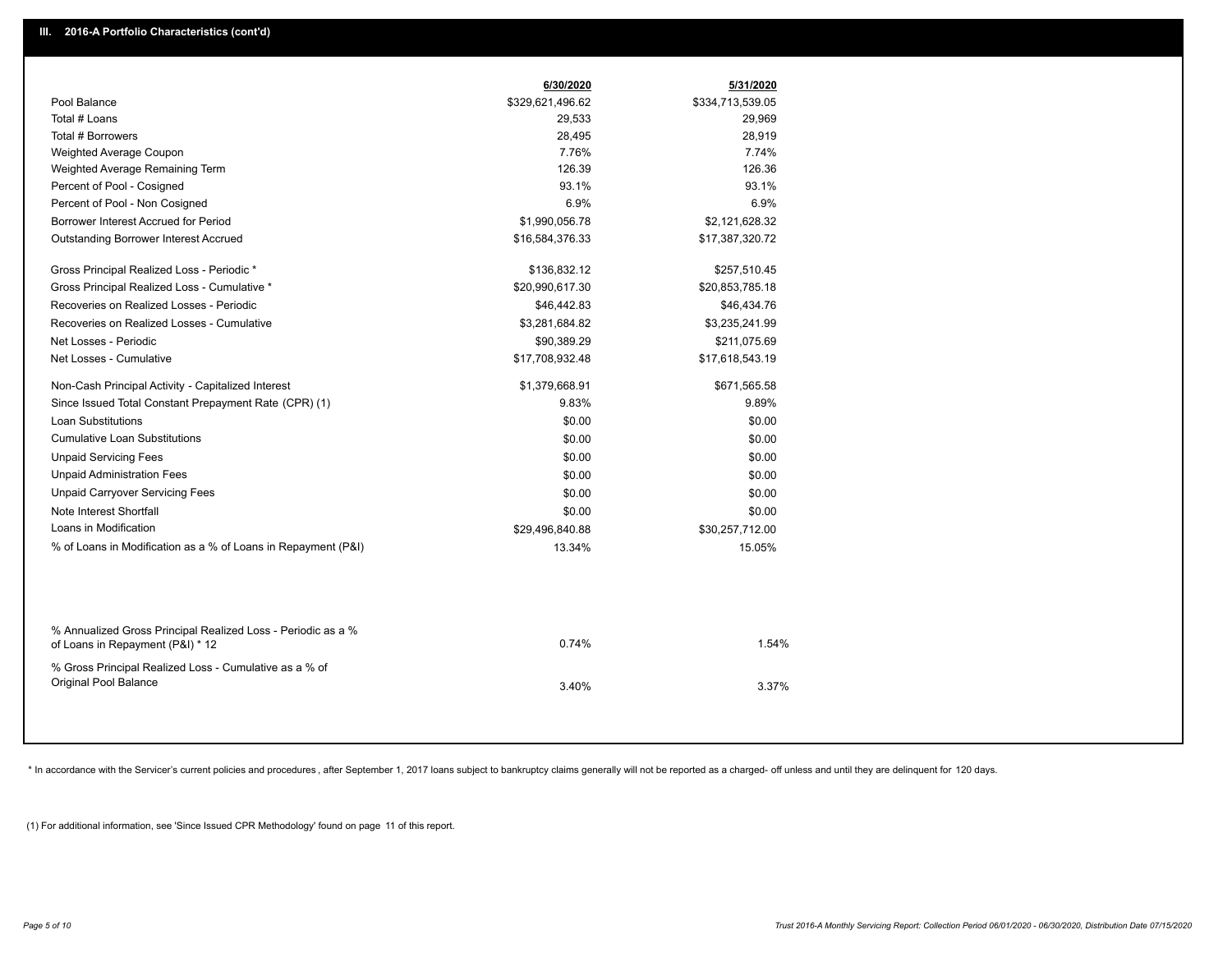|                                                                                                  | 6/30/2020        | 5/31/2020        |
|--------------------------------------------------------------------------------------------------|------------------|------------------|
| Pool Balance                                                                                     | \$329,621,496.62 | \$334,713,539.05 |
| Total # Loans                                                                                    | 29,533           | 29,969           |
| Total # Borrowers                                                                                | 28,495           | 28,919           |
| Weighted Average Coupon                                                                          | 7.76%            | 7.74%            |
| Weighted Average Remaining Term                                                                  | 126.39           | 126.36           |
| Percent of Pool - Cosigned                                                                       | 93.1%            | 93.1%            |
| Percent of Pool - Non Cosigned                                                                   | 6.9%             | 6.9%             |
| Borrower Interest Accrued for Period                                                             | \$1,990,056.78   | \$2,121,628.32   |
| Outstanding Borrower Interest Accrued                                                            | \$16,584,376.33  | \$17,387,320.72  |
| Gross Principal Realized Loss - Periodic *                                                       | \$136,832.12     | \$257,510.45     |
| Gross Principal Realized Loss - Cumulative *                                                     | \$20,990,617.30  | \$20,853,785.18  |
| Recoveries on Realized Losses - Periodic                                                         | \$46,442.83      | \$46,434.76      |
| Recoveries on Realized Losses - Cumulative                                                       | \$3,281,684.82   | \$3,235,241.99   |
| Net Losses - Periodic                                                                            | \$90,389.29      | \$211,075.69     |
| Net Losses - Cumulative                                                                          | \$17,708,932.48  | \$17,618,543.19  |
| Non-Cash Principal Activity - Capitalized Interest                                               | \$1,379,668.91   | \$671,565.58     |
| Since Issued Total Constant Prepayment Rate (CPR) (1)                                            | 9.83%            | 9.89%            |
| <b>Loan Substitutions</b>                                                                        | \$0.00           | \$0.00           |
| Cumulative Loan Substitutions                                                                    | \$0.00           | \$0.00           |
| <b>Unpaid Servicing Fees</b>                                                                     | \$0.00           | \$0.00           |
| <b>Unpaid Administration Fees</b>                                                                | \$0.00           | \$0.00           |
| <b>Unpaid Carryover Servicing Fees</b>                                                           | \$0.00           | \$0.00           |
| Note Interest Shortfall                                                                          | \$0.00           | \$0.00           |
| Loans in Modification                                                                            | \$29,496,840.88  | \$30,257,712.00  |
| % of Loans in Modification as a % of Loans in Repayment (P&I)                                    | 13.34%           | 15.05%           |
|                                                                                                  |                  |                  |
| % Annualized Gross Principal Realized Loss - Periodic as a %<br>of Loans in Repayment (P&I) * 12 | 0.74%            | 1.54%            |
| % Gross Principal Realized Loss - Cumulative as a % of                                           |                  |                  |
| Original Pool Balance                                                                            | 3.40%            | 3.37%            |
|                                                                                                  |                  |                  |

\* In accordance with the Servicer's current policies and procedures, after September 1, 2017 loans subject to bankruptcy claims generally will not be reported as a charged- off unless and until they are delinquent for 120

(1) For additional information, see 'Since Issued CPR Methodology' found on page 11 of this report.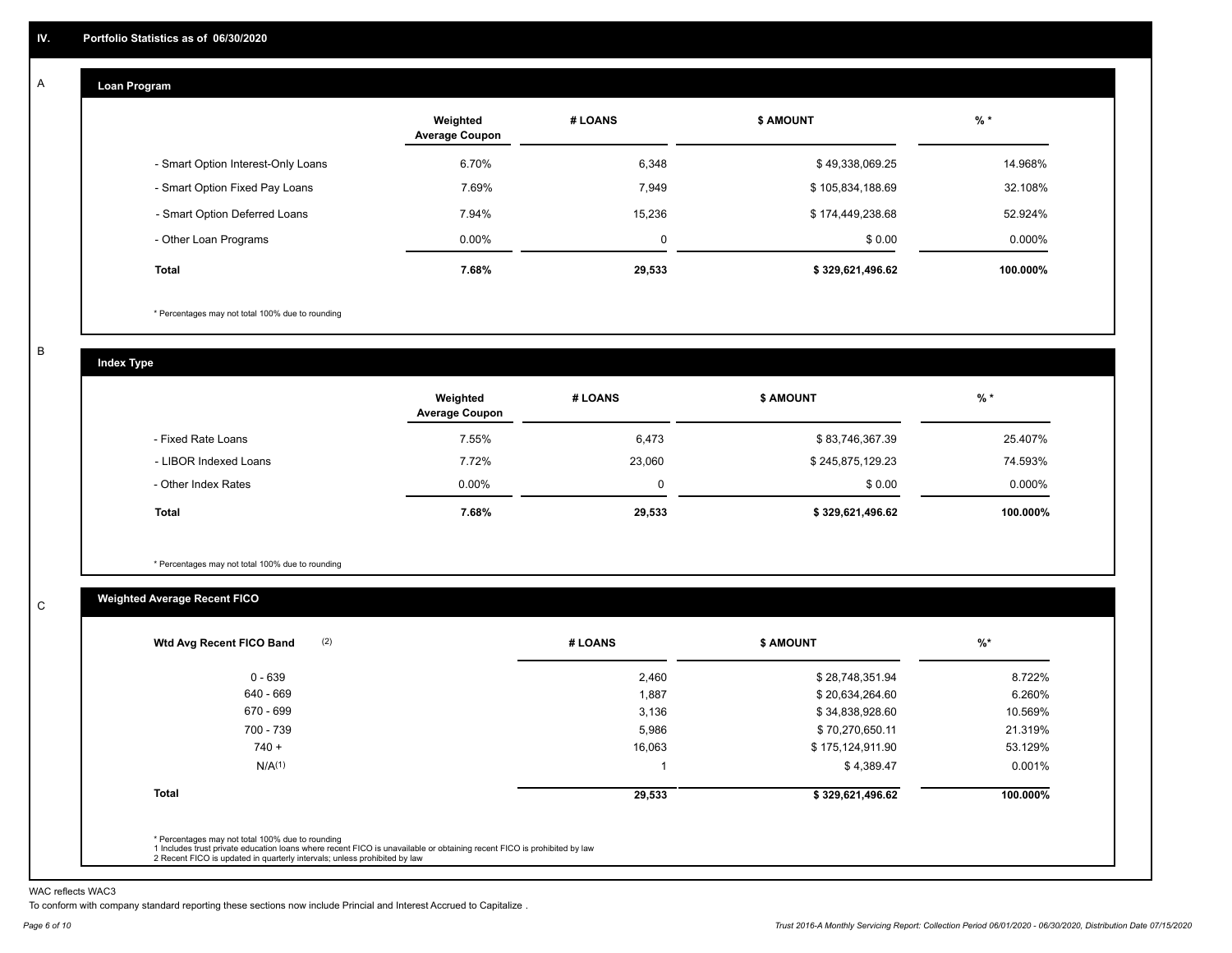#### **Loan Program**  A

|                                    | Weighted<br><b>Average Coupon</b> | # LOANS     | <b>S AMOUNT</b>  | $%$ *     |
|------------------------------------|-----------------------------------|-------------|------------------|-----------|
| - Smart Option Interest-Only Loans | 6.70%                             | 6,348       | \$49,338,069.25  | 14.968%   |
| - Smart Option Fixed Pay Loans     | 7.69%                             | 7,949       | \$105,834,188.69 | 32.108%   |
| - Smart Option Deferred Loans      | 7.94%                             | 15,236      | \$174,449,238.68 | 52.924%   |
| - Other Loan Programs              | $0.00\%$                          | $\mathbf 0$ | \$0.00           | $0.000\%$ |
| <b>Total</b>                       | 7.68%                             | 29,533      | \$329,621,496.62 | 100.000%  |

\* Percentages may not total 100% due to rounding

B

C

**Index Type**

|                       | Weighted<br><b>Average Coupon</b> | # LOANS     | <b>\$ AMOUNT</b> | $%$ *     |
|-----------------------|-----------------------------------|-------------|------------------|-----------|
| - Fixed Rate Loans    | 7.55%                             | 6,473       | \$83,746,367.39  | 25.407%   |
| - LIBOR Indexed Loans | 7.72%                             | 23,060      | \$245,875,129.23 | 74.593%   |
| - Other Index Rates   | $0.00\%$                          | $\mathbf 0$ | \$0.00           | $0.000\%$ |
| Total                 | 7.68%                             | 29,533      | \$329,621,496.62 | 100.000%  |

\* Percentages may not total 100% due to rounding

## **Weighted Average Recent FICO**

| Wtd Avg Recent FICO Band |        |                  |          |
|--------------------------|--------|------------------|----------|
| $0 - 639$                | 2,460  | \$28,748,351.94  | 8.722%   |
| 640 - 669                | 1,887  | \$20,634,264.60  | 6.260%   |
| 670 - 699                | 3,136  | \$34,838,928.60  | 10.569%  |
| 700 - 739                | 5,986  | \$70,270,650.11  | 21.319%  |
| $740 +$                  | 16,063 | \$175,124,911.90 | 53.129%  |
| N/A <sup>(1)</sup>       |        | \$4,389.47       | 0.001%   |
| <b>Total</b>             | 29,533 | \$329,621,496.62 | 100.000% |
|                          |        |                  |          |

WAC reflects WAC3

To conform with company standard reporting these sections now include Princial and Interest Accrued to Capitalize .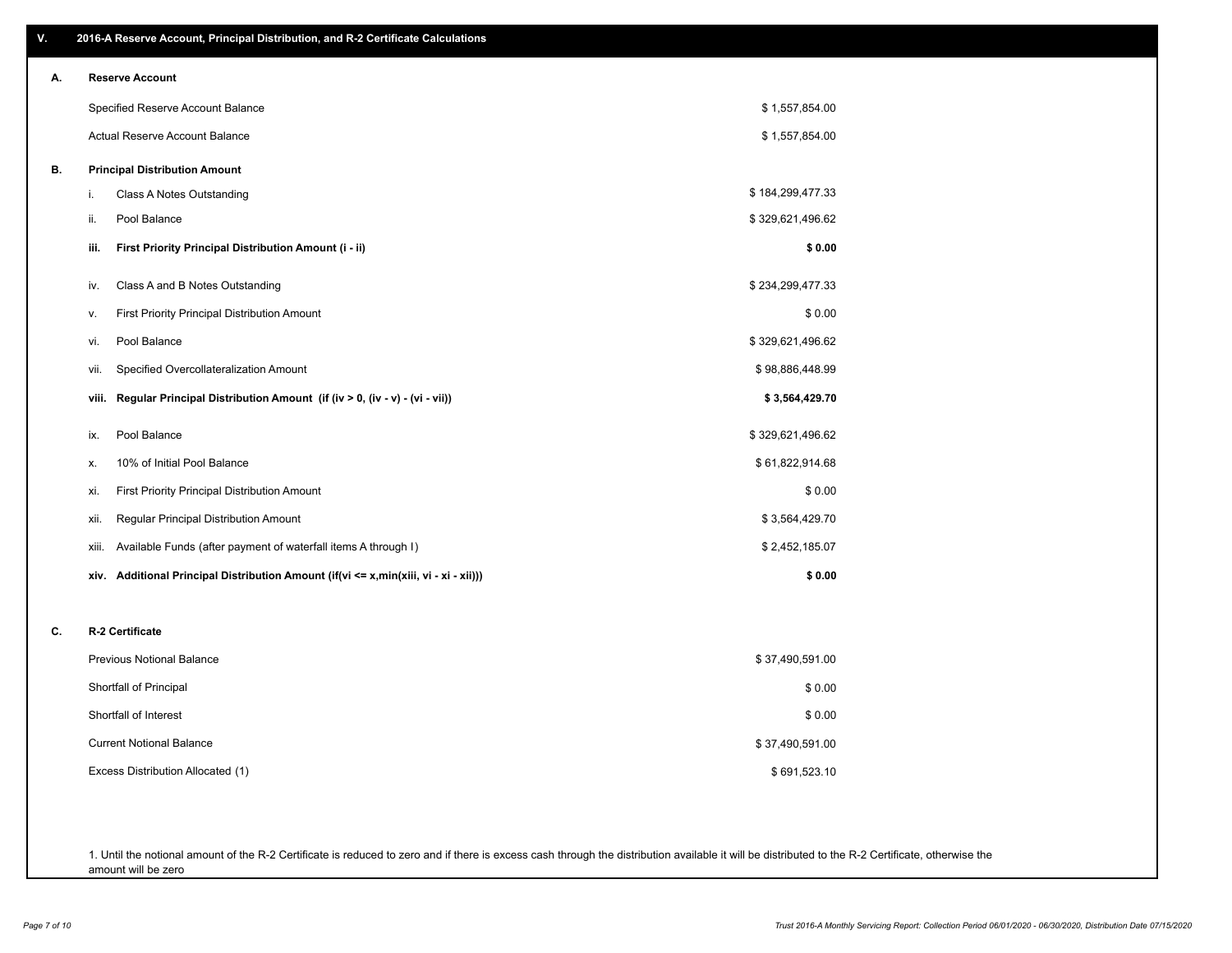| ۷. | 2016-A Reserve Account, Principal Distribution, and R-2 Certificate Calculations        |                  |
|----|-----------------------------------------------------------------------------------------|------------------|
| А. | <b>Reserve Account</b>                                                                  |                  |
|    | Specified Reserve Account Balance                                                       | \$1,557,854.00   |
|    | Actual Reserve Account Balance                                                          | \$1,557,854.00   |
| В. | <b>Principal Distribution Amount</b>                                                    |                  |
|    | Class A Notes Outstanding<br>i.                                                         | \$184,299,477.33 |
|    | Pool Balance<br>ii.                                                                     | \$329,621,496.62 |
|    | First Priority Principal Distribution Amount (i - ii)<br>iii.                           | \$0.00           |
|    | Class A and B Notes Outstanding<br>iv.                                                  | \$234,299,477.33 |
|    | First Priority Principal Distribution Amount<br>v.                                      | \$0.00           |
|    | Pool Balance<br>vi.                                                                     | \$329,621,496.62 |
|    | Specified Overcollateralization Amount<br>vii.                                          | \$98,886,448.99  |
|    | Regular Principal Distribution Amount (if (iv > 0, (iv - v) - (vi - vii))<br>viii.      | \$3,564,429.70   |
|    | Pool Balance<br>ix.                                                                     | \$329,621,496.62 |
|    | 10% of Initial Pool Balance<br>х.                                                       | \$61,822,914.68  |
|    | First Priority Principal Distribution Amount<br>xi.                                     | \$0.00           |
|    | Regular Principal Distribution Amount<br>xii.                                           | \$3,564,429.70   |
|    | Available Funds (after payment of waterfall items A through I)<br>xiii.                 | \$2,452,185.07   |
|    | Additional Principal Distribution Amount (if(vi <= x,min(xiii, vi - xi - xii)))<br>xiv. | \$0.00           |
| C. | R-2 Certificate                                                                         |                  |
|    | <b>Previous Notional Balance</b>                                                        | \$37,490,591.00  |
|    | Shortfall of Principal                                                                  | \$0.00           |
|    | Shortfall of Interest                                                                   | \$0.00           |
|    | <b>Current Notional Balance</b>                                                         | \$37,490,591.00  |
|    | Excess Distribution Allocated (1)                                                       | \$691,523.10     |
|    |                                                                                         |                  |
|    |                                                                                         |                  |

1. Until the notional amount of the R-2 Certificate is reduced to zero and if there is excess cash through the distribution available it will be distributed to the R-2 Certificate, otherwise the amount will be zero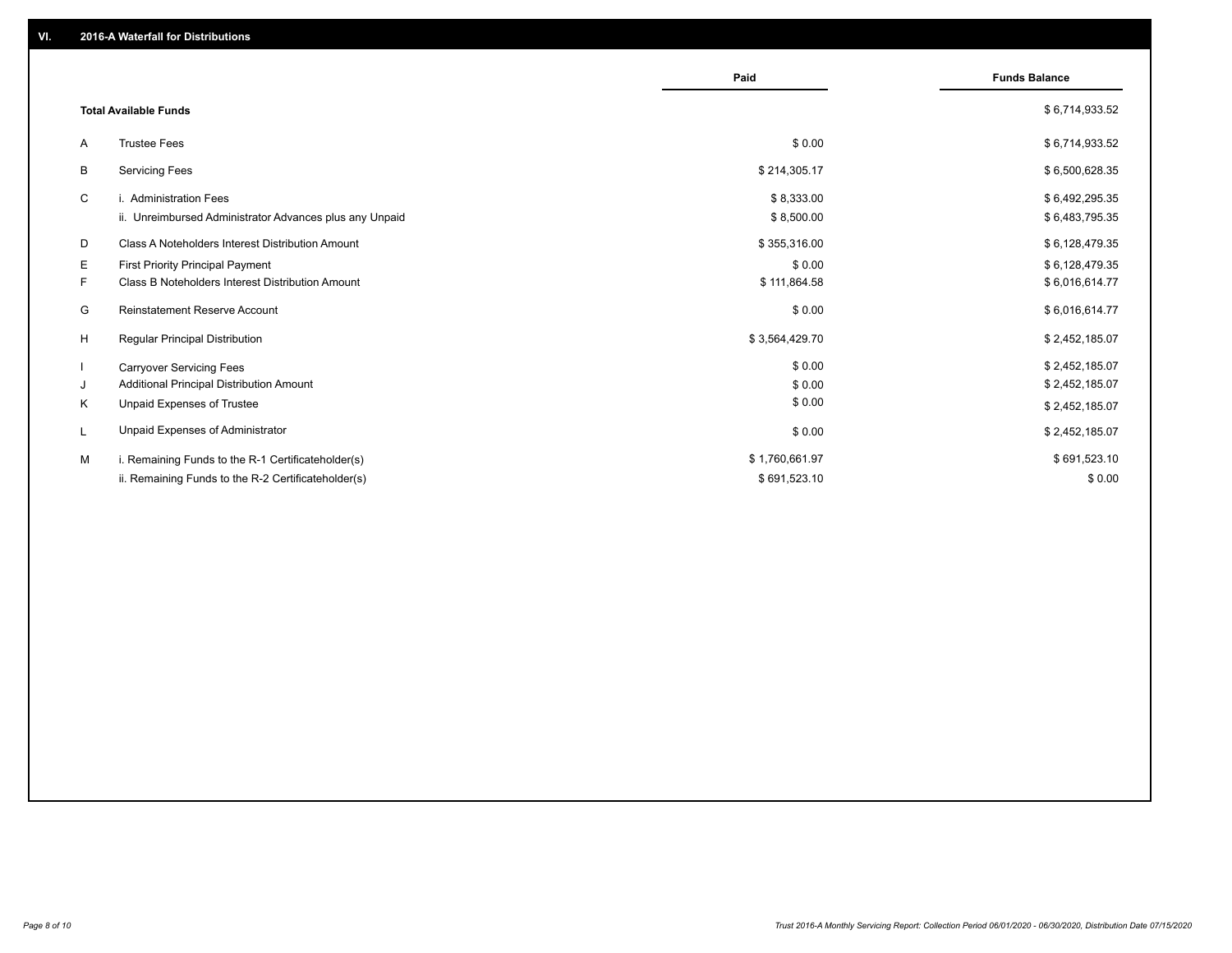|                                                               | Paid           | <b>Funds Balance</b> |
|---------------------------------------------------------------|----------------|----------------------|
| <b>Total Available Funds</b>                                  |                | \$6,714,933.52       |
| <b>Trustee Fees</b><br>A                                      | \$0.00         | \$6,714,933.52       |
| <b>Servicing Fees</b><br>В                                    | \$214,305.17   | \$6,500,628.35       |
| C<br>i. Administration Fees                                   | \$8,333.00     | \$6,492,295.35       |
| ii. Unreimbursed Administrator Advances plus any Unpaid       | \$8,500.00     | \$6,483,795.35       |
| D<br>Class A Noteholders Interest Distribution Amount         | \$355,316.00   | \$6,128,479.35       |
| E.<br><b>First Priority Principal Payment</b>                 | \$0.00         | \$6,128,479.35       |
| F.<br><b>Class B Noteholders Interest Distribution Amount</b> | \$111,864.58   | \$6,016,614.77       |
| Reinstatement Reserve Account<br>G                            | \$0.00         | \$6,016,614.77       |
| H<br><b>Regular Principal Distribution</b>                    | \$3,564,429.70 | \$2,452,185.07       |
| <b>Carryover Servicing Fees</b>                               | \$0.00         | \$2,452,185.07       |
| Additional Principal Distribution Amount<br>J                 | \$0.00         | \$2,452,185.07       |
| Unpaid Expenses of Trustee<br>K                               | \$0.00         | \$2,452,185.07       |
| Unpaid Expenses of Administrator<br>L                         | \$0.00         | \$2,452,185.07       |
| M<br>i. Remaining Funds to the R-1 Certificateholder(s)       | \$1,760,661.97 | \$691,523.10         |
| ii. Remaining Funds to the R-2 Certificateholder(s)           | \$691,523.10   | \$0.00               |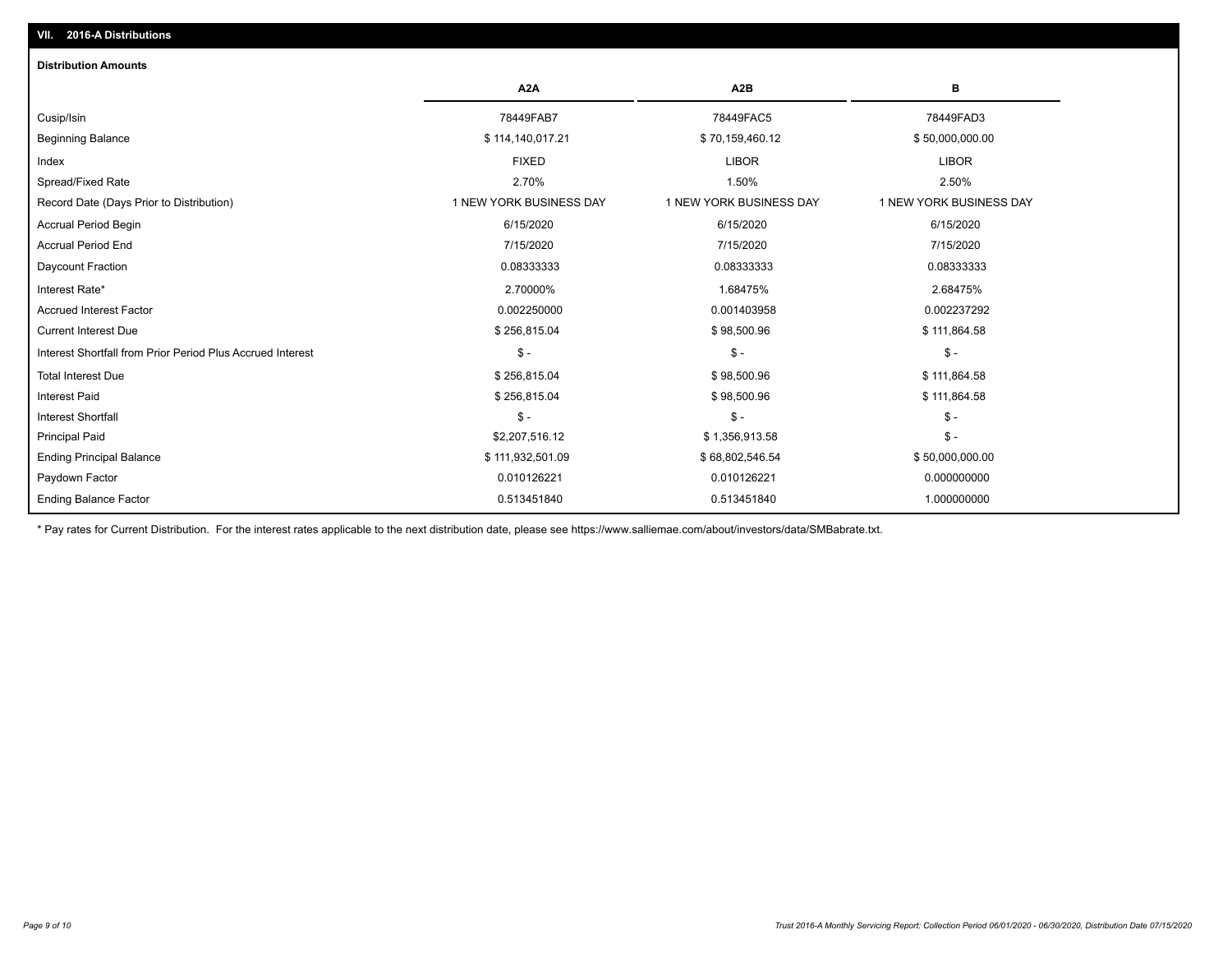## Ending Balance Factor Paydown Factor 0.010126221 0.010126221 0.000000000 Ending Principal Balance \$ 111,932,501.09 \$ \$6,802,546.54 \$6,802,546.54 \$50,000,000.00 Principal Paid \$2,207,516.12 \$ 1,356,913.58 \$ - Interest Shortfall \$ - \$ - \$ - Interest Paid \$ 256,815.04 \$ 98,500.96 \$ 111,864.58 Total Interest Due \$ 256,815.04 \$ 98,500.96 \$ 111,864.58 Interest Shortfall from Prior Period Plus Accrued Interest \$ - \$ - \$ - Current Interest Due \$ 256,815.04 \$ 98,500.96 \$ 111,864.58 Accrued Interest Factor 0.002250000 0.001403958 0.002237292 Interest Rate\* 2.70000% 1.68475% 2.68475% Daycount Fraction 0.08333333 0.08333333 0.08333333 Accrual Period End 7/15/2020 7/15/2020 7/15/2020 Accrual Period Begin 6/15/2020 6/15/2020 6/15/2020 Record Date (Days Prior to Distribution) 1 1 NEW YORK BUSINESS DAY 1 NEW YORK BUSINESS DAY 1 NEW YORK BUSINESS DAY Spread/Fixed Rate 2.70% 1.50% 2.50% Index FIXED LIBOR LIBOR Beginning Balance \$ 114,140,017.21 \$ 70,159,460.12 \$ 50,000,000.00 Cusip/Isin 78449FAB7 78449FAC5 78449FAD3 **A2A A2B B** 0.513451840 0.513451840 1.000000000 **Distribution Amounts VII. 2016-A Distributions**

\* Pay rates for Current Distribution. For the interest rates applicable to the next distribution date, please see https://www.salliemae.com/about/investors/data/SMBabrate.txt.